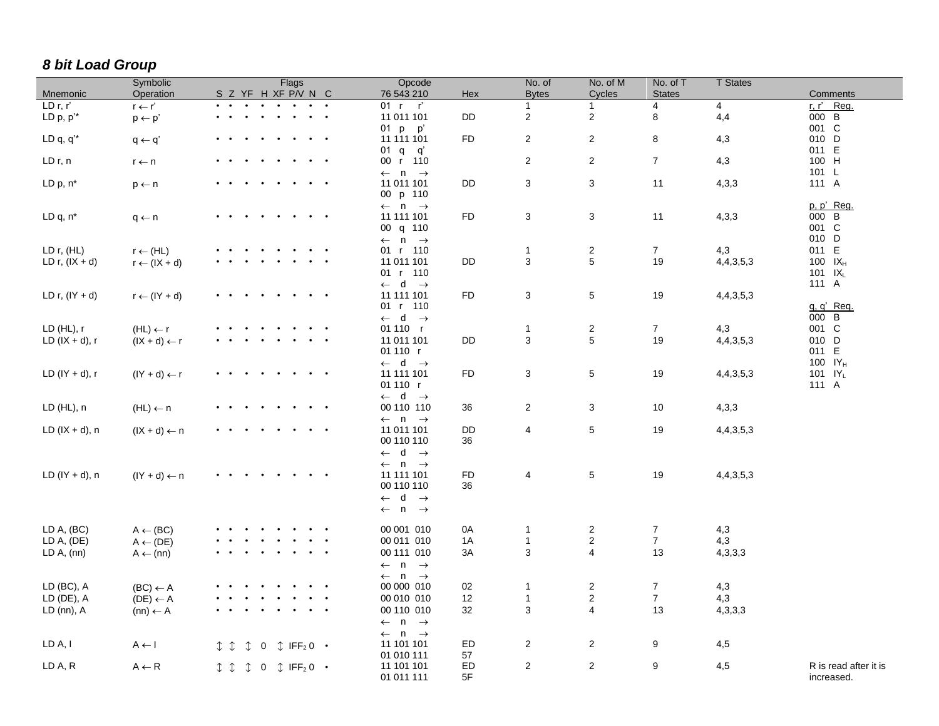## *8 bit Load Group*

|                   | Symbolic                | Flags                                                           | Opcode                                     |           | No. of         | No. of M                  | No. of T       | <b>T</b> States |                       |
|-------------------|-------------------------|-----------------------------------------------------------------|--------------------------------------------|-----------|----------------|---------------------------|----------------|-----------------|-----------------------|
| Mnemonic          | Operation               | S Z YF H XF P/V N C                                             | 76 543 210                                 | Hex       | <b>Bytes</b>   | Cycles                    | <b>States</b>  |                 | Comments              |
| LD r, r'          | $r \leftarrow r'$       |                                                                 | 01 r r'                                    |           | $\mathbf{1}$   | 1                         | 4              | 4               | r, r' Reg.            |
| LD $p, p'^*$      | $p \leftarrow p'$       | $\bullet\qquad\bullet$                                          | 11 011 101                                 | DD        | $\overline{2}$ | $\overline{c}$            | 8              | 4,4             | 000 B                 |
|                   |                         |                                                                 | 01 $p$ $p'$                                |           |                |                           |                |                 | 001 C                 |
| LD $q, q^*$       | $q \leftarrow q'$       | $\bullet$<br>$\bullet$<br>$\bullet$ . $\bullet$<br>$\bullet$    | 11 111 101                                 | <b>FD</b> | $\overline{2}$ | $\overline{c}$            | 8              | 4,3             | 010 D                 |
|                   |                         |                                                                 | 01 q q'                                    |           |                |                           |                |                 | 011 E                 |
| LD r, n           | $r \leftarrow n$        | $\bullet$ $\bullet$                                             | 00 r 110                                   |           | $\overline{2}$ | 2                         | $\overline{7}$ | 4,3             | 100 H                 |
|                   |                         |                                                                 | $\leftarrow$ n $\rightarrow$               |           |                |                           |                |                 | 101 L                 |
| LD $p, n^*$       | $p \leftarrow n$        | $\bullet$ . $\bullet$                                           | 11 011 101                                 | DD        | 3              | 3                         | 11             | 4,3,3           | 111 A                 |
|                   |                         |                                                                 | 00 p 110                                   |           |                |                           |                |                 |                       |
|                   |                         |                                                                 | $\leftarrow$ n $\rightarrow$               |           |                |                           |                |                 | p, p' Reg.            |
| LD q, n*          | $q \leftarrow n$        | $\bullet\qquad\bullet$                                          | 11 111 101                                 | <b>FD</b> | 3              | 3                         | 11             | 4,3,3           | 000 B                 |
|                   |                         |                                                                 | 00 q 110                                   |           |                |                           |                |                 | 001 C                 |
|                   |                         |                                                                 | $\leftarrow$ n $\rightarrow$               |           |                |                           |                |                 | 010 D                 |
| LD r, (HL)        | $r \leftarrow (HL)$     |                                                                 | 01 r 110                                   |           | $\mathbf{1}$   | $\boldsymbol{2}$          | $\overline{7}$ | 4,3             | 011 E                 |
| LD r, $(IX + d)$  | $r \leftarrow (IX + d)$ |                                                                 | 11 011 101                                 | DD        | $\mathbf{3}$   | 5                         | 19             | 4, 4, 3, 5, 3   | 100 IX <sub>H</sub>   |
|                   |                         |                                                                 | 01 r 110                                   |           |                |                           |                |                 | 101 $IX_L$            |
|                   |                         |                                                                 | $\leftarrow$ d $\rightarrow$               |           |                | $\,$ 5 $\,$               |                |                 | 111 A                 |
| LD r, $(IV + d)$  | $r \leftarrow (lY + d)$ |                                                                 | 11 111 101                                 | <b>FD</b> | 3              |                           | 19             | 4,4,3,5,3       |                       |
|                   |                         |                                                                 | 01 r 110<br>$\leftarrow$ d $\rightarrow$   |           |                |                           |                |                 | $q, q'$ Req.<br>000 B |
| LD(HL), r         | $(HL) \leftarrow r$     |                                                                 | 01 110 r                                   |           | $\mathbf{1}$   | $\sqrt{2}$                | $\overline{7}$ | 4,3             | 001 C                 |
| LD $(IX + d)$ , r |                         |                                                                 | 11 011 101                                 | DD        | 3              | 5                         | 19             | 4, 4, 3, 5, 3   | 010 D                 |
|                   | $(IX + d) \leftarrow r$ |                                                                 | 01110 r                                    |           |                |                           |                |                 | 011 E                 |
|                   |                         |                                                                 | $\leftarrow$ d $\rightarrow$               |           |                |                           |                |                 | 100 IY <sub>H</sub>   |
| LD $(IV + d)$ , r | $(1Y + d) \leftarrow r$ | $\ddot{\phantom{0}}$                                            | 11 111 101                                 | <b>FD</b> | 3              | 5                         | 19             | 4, 4, 3, 5, 3   | 101 IY <sub>L</sub>   |
|                   |                         |                                                                 | 01110 r                                    |           |                |                           |                |                 | 111 A                 |
|                   |                         |                                                                 | $\leftarrow$ d $\rightarrow$               |           |                |                           |                |                 |                       |
| LD (HL), n        | $(HL) \leftarrow n$     |                                                                 | 00 110 110                                 | 36        | $\overline{a}$ | $\ensuremath{\mathsf{3}}$ | 10             | 4,3,3           |                       |
|                   |                         |                                                                 | $\leftarrow$ n $\rightarrow$               |           |                |                           |                |                 |                       |
| LD $(IX + d)$ , n | $(IX + d) \leftarrow n$ |                                                                 | 11 011 101                                 | DD        | 4              | 5                         | 19             | 4, 4, 3, 5, 3   |                       |
|                   |                         |                                                                 | 00 110 110                                 | 36        |                |                           |                |                 |                       |
|                   |                         |                                                                 | $\leftarrow$ d $\rightarrow$               |           |                |                           |                |                 |                       |
|                   |                         |                                                                 | $\leftarrow$ n $\rightarrow$               |           |                |                           |                |                 |                       |
| LD $(IV + d)$ , n | $(1Y + d) \leftarrow n$ |                                                                 | 11 111 101                                 | FD        | 4              | 5                         | 19             | 4, 4, 3, 5, 3   |                       |
|                   |                         |                                                                 | 00 110 110                                 | 36        |                |                           |                |                 |                       |
|                   |                         |                                                                 | $\leftarrow$ d $\rightarrow$               |           |                |                           |                |                 |                       |
|                   |                         |                                                                 | $\leftarrow$ n $\rightarrow$               |           |                |                           |                |                 |                       |
|                   |                         |                                                                 |                                            |           |                |                           |                |                 |                       |
| LD A, (BC)        | $A \leftarrow (BC)$     |                                                                 | 00 001 010                                 | 0A        | $\mathbf{1}$   | $\overline{c}$            | $\overline{7}$ | 4,3             |                       |
| LD A, (DE)        | $A \leftarrow (DE)$     | $\bullet$                                                       | 00 011 010                                 | 1A        | $\mathbf{1}$   | $\mathbf 2$               | $\overline{7}$ | 4,3             |                       |
| LD A, (nn)        | $A \leftarrow (nn)$     |                                                                 | 00 111 010                                 | 3A        | 3              | $\overline{4}$            | 13             | 4,3,3,3         |                       |
|                   |                         |                                                                 | $\leftarrow$ n $\rightarrow$               |           |                |                           |                |                 |                       |
|                   |                         |                                                                 | $\leftarrow$ n $\rightarrow$               |           |                |                           |                |                 |                       |
| LD (BC), A        | $(BC) \leftarrow A$     |                                                                 | 00 000 010                                 | 02        | $\mathbf{1}$   | $\sqrt{2}$                | $\overline{7}$ | 4,3             |                       |
| LD (DE), A        | $(DE) \leftarrow A$     | $\bullet$                                                       | 00 010 010                                 | 12        | $\mathbf{1}$   | $\overline{c}$            | $\overline{7}$ | 4,3             |                       |
| $LD$ (nn), $A$    | $(nn) \leftarrow A$     | $\bullet\qquad\bullet$                                          | 00 110 010                                 | 32        | $\mathbf{3}$   | 4                         | 13             | 4,3,3,3         |                       |
|                   |                         |                                                                 | $\leftarrow$ n $\rightarrow$               |           |                |                           |                |                 |                       |
| LD A, I           |                         |                                                                 | $\leftarrow$ n $\rightarrow$<br>11 101 101 | ED        | $\overline{2}$ | $\overline{c}$            | 9              |                 |                       |
|                   | $A \leftarrow I$        | $\downarrow$<br>I                                               | 01 010 111                                 | 57        |                |                           |                | 4,5             |                       |
| LD A, R           | $A \leftarrow R$        | $\updownarrow$ 0 $\updownarrow$ IFF <sub>2</sub> 0 $\cdot$<br>I | 11 101 101                                 | ED        | $\overline{2}$ | $\overline{c}$            | 9              | 4,5             | R is read after it is |
|                   |                         |                                                                 | 01 011 111                                 | 5F        |                |                           |                |                 | increased.            |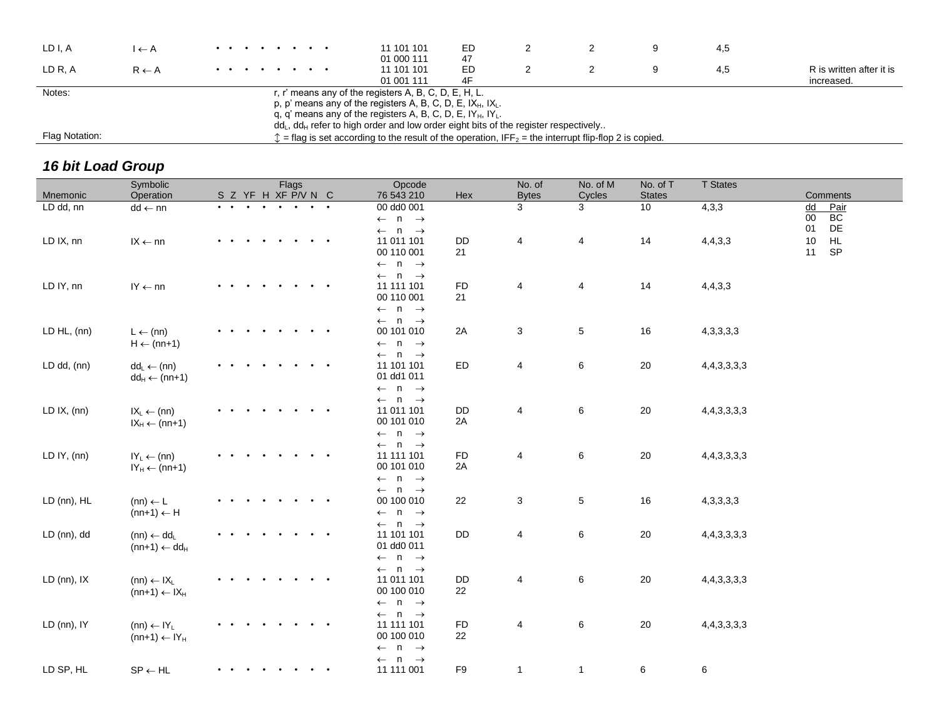| LD I, A        | l ← A            | . | 11 101 101<br>01 000 111                                                                                                                                                                                                                                                                    | ED<br>47 |  |   | 4,5 |                                        |
|----------------|------------------|---|---------------------------------------------------------------------------------------------------------------------------------------------------------------------------------------------------------------------------------------------------------------------------------------------|----------|--|---|-----|----------------------------------------|
| LD R. A        | $R \leftarrow A$ |   | 11 101 101<br>01 001 111                                                                                                                                                                                                                                                                    | ED       |  | 9 | 4.5 | R is written after it is<br>increased. |
| Notes:         |                  |   | r, r' means any of the registers A, B, C, D, E, H, L.<br>p, p' means any of the registers A, B, C, D, E, $IX_H$ , $IX_L$ .<br>q, q' means any of the registers A, B, C, D, E, $IY_H$ , $IY_L$ .<br>$ddL$ , $ddH$ refer to high order and low order eight bits of the register respectively. |          |  |   |     |                                        |
| Flag Notation: |                  |   | $\hat{z}$ = flag is set according to the result of the operation, IFF <sub>2</sub> = the interrupt flip-flop 2 is copied.                                                                                                                                                                   |          |  |   |     |                                        |

## *16 bit Load Group*

| Mnemonic         | Symbolic<br>Operation                                              | Flags<br>S Z YF H XF P/V N C |                        | Opcode<br>76 543 210                                                                                       | Hex             | No. of<br><b>Bytes</b>  | No. of M<br>Cycles | No. of T<br><b>States</b> | <b>T</b> States  | Comments                               |
|------------------|--------------------------------------------------------------------|------------------------------|------------------------|------------------------------------------------------------------------------------------------------------|-----------------|-------------------------|--------------------|---------------------------|------------------|----------------------------------------|
|                  |                                                                    |                              |                        |                                                                                                            |                 |                         |                    |                           |                  |                                        |
| LD dd, nn        | $dd \leftarrow nn$                                                 |                              |                        | 00 dd0 001<br>$\leftarrow$ n $\rightarrow$<br>$\leftarrow$ n $\rightarrow$                                 |                 | 3                       | 3                  | 10                        | 4,3,3            | Pair<br>dd<br>BC<br>$00\,$<br>DE<br>01 |
| LD IX, nn        | $IX \leftarrow nn$                                                 |                              | $\bullet$              | 11 011 101<br>00 110 001<br>$\leftarrow$ n $\rightarrow$<br>$\leftarrow$ n $\rightarrow$                   | DD<br>21        | $\overline{\mathbf{4}}$ | $\overline{4}$     | 14                        | 4,4,3,3          | HL<br>$10$<br>11<br><b>SP</b>          |
| LD IY, nn        | $IY \leftarrow nn$                                                 |                              |                        | 11 111 101<br>00 110 001<br>$\leftarrow$ n $\rightarrow$                                                   | FD<br>21        | 4                       | $\overline{4}$     | 14                        | 4,4,3,3          |                                        |
| LD HL, (nn)      | $L \leftarrow (nn)$<br>$H \leftarrow (nn+1)$                       |                              |                        | $\leftarrow$ n $\rightarrow$<br>00 101 010<br>$\leftarrow$ n $\rightarrow$<br>$\leftarrow$ n $\rightarrow$ | 2A              | 3                       | $\overline{5}$     | 16                        | 4, 3, 3, 3, 3    |                                        |
| LD dd, (nn)      | $dd_L \leftarrow (nn)$<br>$dd_H \leftarrow (nn+1)$                 |                              | $\bullet$              | 11 101 101<br>01 dd1 011<br>$\leftarrow$ n $\rightarrow$                                                   | ED              | 4                       | $\,6\,$            | 20                        | 4, 4, 3, 3, 3, 3 |                                        |
| LD $IX$ , $(nn)$ | $IX_L \leftarrow (nn)$<br>$IX_H \leftarrow (nn+1)$                 |                              |                        | $\leftarrow$ n $\rightarrow$<br>11 011 101<br>00 101 010<br>$\leftarrow$ n $\rightarrow$                   | DD<br>2A        | 4                       | $\,6\,$            | $20\,$                    | 4, 4, 3, 3, 3, 3 |                                        |
| LD $IY$ , $(nn)$ | $IY_L \leftarrow (nn)$<br>$IY_H \leftarrow (nn+1)$                 |                              |                        | $\leftarrow$ n $\rightarrow$<br>11 111 101<br>00 101 010<br>$\leftarrow$ n $\rightarrow$                   | <b>FD</b><br>2A | 4                       | 6                  | 20                        | 4, 4, 3, 3, 3, 3 |                                        |
| LD (nn), HL      | $(nn) \leftarrow L$<br>$(nn+1) \leftarrow H$                       |                              |                        | $\leftarrow$ n $\rightarrow$<br>00 100 010<br>$\leftarrow$ n $\rightarrow$<br>$\leftarrow$ n $\rightarrow$ | 22              | 3                       | $5\phantom{.0}$    | 16                        | 4, 3, 3, 3, 3    |                                        |
| LD (nn), dd      | $(nn) \leftarrow dd_{L}$<br>$(nn+1) \leftarrow dd_H$               |                              |                        | 11 101 101<br>01 dd0 011<br>$\leftarrow$ n $\rightarrow$<br>$\leftarrow$ n $\rightarrow$                   | DD              | 4                       | 6                  | 20                        | 4, 4, 3, 3, 3, 3 |                                        |
| LD (nn), IX      | $(nn) \leftarrow IX_L$<br>$(nn+1) \leftarrow IX_H$                 |                              |                        | 11 011 101<br>00 100 010<br>$\leftarrow$ n $\rightarrow$<br>$\leftarrow$ n $\rightarrow$                   | DD<br>22        | 4                       | 6                  | 20                        | 4, 4, 3, 3, 3, 3 |                                        |
| LD (nn), IY      | $(nn) \leftarrow IV_L$<br>$(nn+1) \leftarrow \text{IY}_{\text{H}}$ | $\cdots$<br>$\bullet$        |                        | 11 111 101<br>00 100 010<br>$\leftarrow$ n $\rightarrow$                                                   | FD<br>22        | 4                       | 6                  | 20                        | 4, 4, 3, 3, 3, 3 |                                        |
| LD SP, HL        | $\mathsf{SP} \leftarrow \mathsf{HL}$                               |                              | $\bullet\qquad\bullet$ | $\leftarrow$ n $\rightarrow$<br>11 111 001                                                                 | F9              | $\mathbf{1}$            | $\mathbf{1}$       | 6                         | 6                |                                        |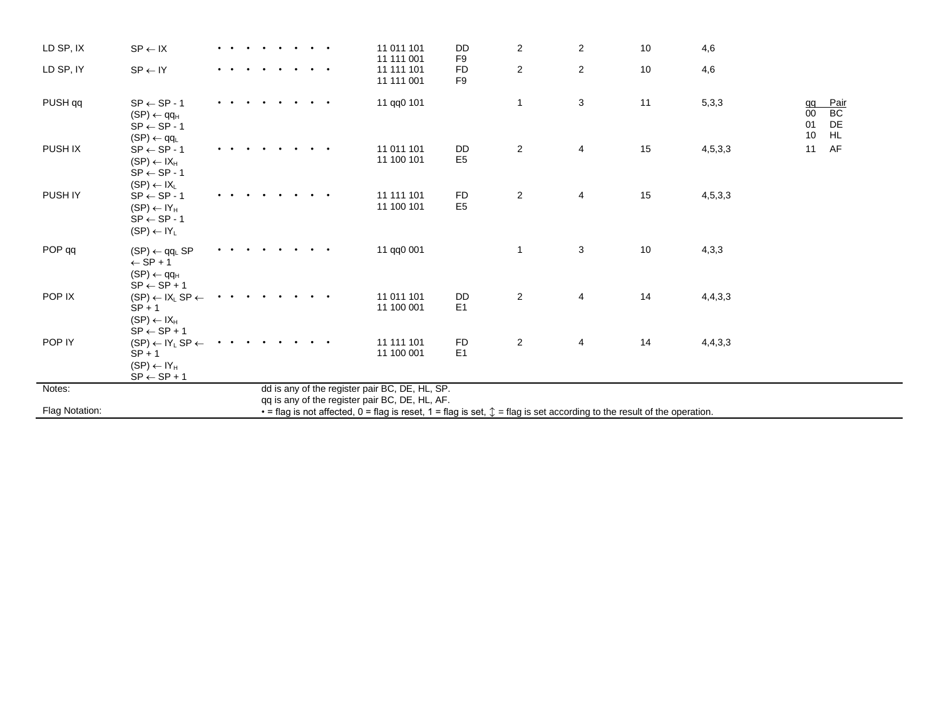| LD SP, IX          | $SP \leftarrow IX$                                                                                              |  |  |  | . | 11 011 101<br>11 111 001                                                                         | DD<br>F <sub>9</sub>        | $\overline{c}$          | $\overline{\mathbf{c}}$                                                                                                                     | 10 | 4,6        |                      |                               |
|--------------------|-----------------------------------------------------------------------------------------------------------------|--|--|--|---|--------------------------------------------------------------------------------------------------|-----------------------------|-------------------------|---------------------------------------------------------------------------------------------------------------------------------------------|----|------------|----------------------|-------------------------------|
| LD SP, IY          | $SP \leftarrow IY$                                                                                              |  |  |  |   | 11 111 101<br>11 111 001                                                                         | FD<br>F <sub>9</sub>        | $\overline{\mathbf{c}}$ | $\overline{\mathbf{c}}$                                                                                                                     | 10 | 4,6        |                      |                               |
| PUSH <sub>qq</sub> | $SP \leftarrow SP - 1$<br>$(SP) \leftarrow qq_H$<br>$SP \leftarrow SP - 1$<br>$(SP) \leftarrow qq_{L}$          |  |  |  |   | 11 qq0 101                                                                                       |                             | $\mathbf{1}$            | 3                                                                                                                                           | 11 | 5,3,3      | qq<br>00<br>01<br>10 | Pair<br>BC<br>DE<br><b>HL</b> |
| PUSH IX            | $SP \leftarrow SP - 1$<br>$(SP) \leftarrow IX_H$<br>$SP \leftarrow SP - 1$<br>$(SP) \leftarrow IX_L$            |  |  |  |   | 11 011 101<br>11 100 101                                                                         | <b>DD</b><br>E <sub>5</sub> | $\overline{c}$          | 4                                                                                                                                           | 15 | 4, 5, 3, 3 | 11                   | AF                            |
| PUSH IY            | $SP \leftarrow SP - 1$<br>$(SP) \leftarrow IY_H$<br>$SP \leftarrow SP - 1$<br>$(SP) \leftarrow IY_L$            |  |  |  |   | 11 111 101<br>11 100 101                                                                         | <b>FD</b><br>E <sub>5</sub> | $\overline{c}$          | 4                                                                                                                                           | 15 | 4,5,3,3    |                      |                               |
| POP <sub>qq</sub>  | $(SP) \leftarrow qq$ <sub>L</sub> SP<br>$\leftarrow$ SP + 1<br>$(SP) \leftarrow qq_H$<br>$SP \leftarrow SP + 1$ |  |  |  |   | 11 qq0 001                                                                                       |                             | $\mathbf{1}$            | 3                                                                                                                                           | 10 | 4,3,3      |                      |                               |
| POP IX             | $(SP) \leftarrow IX_L SP \leftarrow$<br>$SP + 1$<br>$(SP) \leftarrow IX_H$<br>$SP \leftarrow SP + 1$            |  |  |  |   | 11 011 101<br>11 100 001                                                                         | DD<br>E1                    | $\overline{\mathbf{c}}$ | 4                                                                                                                                           | 14 | 4,4,3,3    |                      |                               |
| POP IY             | $(SP) \leftarrow IY_L SP \leftarrow$<br>$SP + 1$<br>$(SP) \leftarrow IY_H$<br>$SP \leftarrow SP + 1$            |  |  |  |   | 11 111 101<br>11 100 001                                                                         | <b>FD</b><br>E <sub>1</sub> | $\overline{c}$          | 4                                                                                                                                           | 14 | 4,4,3,3    |                      |                               |
| Notes:             |                                                                                                                 |  |  |  |   | dd is any of the register pair BC, DE, HL, SP.<br>qq is any of the register pair BC, DE, HL, AF. |                             |                         |                                                                                                                                             |    |            |                      |                               |
| Flag Notation:     |                                                                                                                 |  |  |  |   |                                                                                                  |                             |                         | $\bullet$ = flag is not affected, 0 = flag is reset, 1 = flag is set, $\mathcal{L}$ = flag is set according to the result of the operation. |    |            |                      |                               |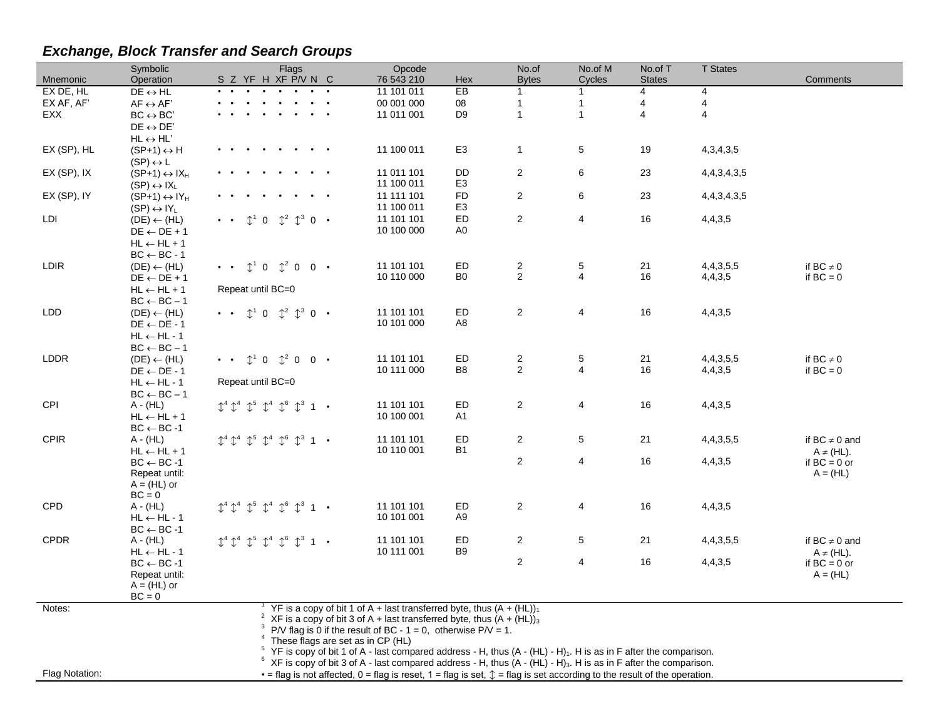# *Exchange, Block Transfer and Search Groups*

|                | Symbolic                                         | Flags                                                                              | Opcode                                                                                                                                       |                      | No.of                        | No.of M                      | No.of T        | <b>T</b> States         |                                   |
|----------------|--------------------------------------------------|------------------------------------------------------------------------------------|----------------------------------------------------------------------------------------------------------------------------------------------|----------------------|------------------------------|------------------------------|----------------|-------------------------|-----------------------------------|
| Mnemonic       | Operation                                        | S Z YF H XF P/V N C                                                                | 76 543 210                                                                                                                                   | Hex                  | <b>Bytes</b>                 | Cycles                       | <b>States</b>  |                         | Comments                          |
| EX DE, HL      | $DE \leftrightarrow HL$                          |                                                                                    | 11 101 011                                                                                                                                   | EB                   | -1                           | 1                            | 4              | 4                       |                                   |
| EX AF, AF'     | $AF \leftrightarrow AF'$                         |                                                                                    | 00 001 000                                                                                                                                   | ${\bf 08}$           | $\mathbf{1}$                 | $\mathbf{1}$                 | 4              | $\overline{\mathbf{4}}$ |                                   |
| <b>EXX</b>     | $BC \leftrightarrow BC'$                         |                                                                                    | 11 011 001                                                                                                                                   | D <sub>9</sub>       | $\overline{1}$               | $\mathbf{1}$                 | $\overline{4}$ | $\overline{4}$          |                                   |
|                | $DE \leftrightarrow DE'$                         |                                                                                    |                                                                                                                                              |                      |                              |                              |                |                         |                                   |
|                | $HL \leftrightarrow HL'$                         |                                                                                    |                                                                                                                                              |                      |                              |                              |                |                         |                                   |
| EX (SP), HL    | $(SP+1) \leftrightarrow H$                       |                                                                                    | 11 100 011                                                                                                                                   | E <sub>3</sub>       | $\mathbf{1}$                 | 5                            | 19             | 4, 3, 4, 3, 5           |                                   |
|                | $(SP) \leftrightarrow L$                         |                                                                                    |                                                                                                                                              |                      |                              |                              |                |                         |                                   |
| EX (SP), IX    | $(SP+1) \leftrightarrow IX_H$                    |                                                                                    | 11 011 101                                                                                                                                   | DD                   | $\mathbf 2$                  | 6                            | 23             | 4, 4, 3, 4, 3, 5        |                                   |
|                | $(SP) \leftrightarrow IX$                        |                                                                                    | 11 100 011                                                                                                                                   | E <sub>3</sub>       |                              |                              |                |                         |                                   |
| EX (SP), IY    | $(SP+1) \leftrightarrow IY_H$                    |                                                                                    | 11 111 101                                                                                                                                   | <b>FD</b>            | 2                            | 6                            | 23             | 4, 4, 3, 4, 3, 5        |                                   |
|                | $(SP) \leftrightarrow \mathsf{IY}_{\mathsf{L}}$  |                                                                                    | 11 100 011                                                                                                                                   | E <sub>3</sub>       |                              |                              |                |                         |                                   |
| LDI            | $(DE) \leftarrow (HL)$                           | $\mathbb{C}^3$<br>$\mathbb{C}^2$<br>$\Omega$<br>$0 -$                              | 11 101 101                                                                                                                                   | ED                   | $\overline{2}$               | 4                            | 16             | 4,4,3,5                 |                                   |
|                | $DE \leftarrow DE + 1$                           |                                                                                    | 10 100 000                                                                                                                                   | A0                   |                              |                              |                |                         |                                   |
|                | $HL \leftarrow HL + 1$                           |                                                                                    |                                                                                                                                              |                      |                              |                              |                |                         |                                   |
|                | $BC \leftarrow BC - 1$                           |                                                                                    |                                                                                                                                              |                      |                              |                              |                |                         |                                   |
| <b>LDIR</b>    | $(DE) \leftarrow (HL)$                           | $0 \quad \mathbb{C}^2$ 0 0 $\cdot$<br>$\mathbb{C}^1$<br>$\bullet$ $\bullet$        | 11 101 101                                                                                                                                   | ED                   | $\sqrt{2}$<br>$\overline{2}$ | 5<br>$\overline{\mathbf{4}}$ | 21             | 4, 4, 3, 5, 5           | if $BC \neq 0$                    |
|                | $DE \leftarrow DE + 1$                           |                                                                                    | 10 110 000                                                                                                                                   | B <sub>0</sub>       |                              |                              | 16             | 4,4,3,5                 | if $BC = 0$                       |
|                | $HL \leftarrow HL + 1$                           | Repeat until BC=0                                                                  |                                                                                                                                              |                      |                              |                              |                |                         |                                   |
|                | $BC \leftarrow BC - 1$                           |                                                                                    |                                                                                                                                              |                      |                              |                              |                |                         |                                   |
| <b>LDD</b>     | $(DE) \leftarrow (HL)$                           | $\mathbb{1}^2$ $\mathbb{1}^3$ 0 $\cdot$<br>$\uparrow^1$<br>$\Omega$                | 11 101 101<br>10 101 000                                                                                                                     | ED<br>A8             | 2                            | 4                            | 16             | 4,4,3,5                 |                                   |
|                | $DE \leftarrow DE - 1$                           |                                                                                    |                                                                                                                                              |                      |                              |                              |                |                         |                                   |
|                | $HL \leftarrow HL - 1$<br>$BC \leftarrow BC - 1$ |                                                                                    |                                                                                                                                              |                      |                              |                              |                |                         |                                   |
| LDDR           | $(DE) \leftarrow (HL)$                           | $\uparrow^1$ 0<br>$0\quad 0\quad \bullet$<br>$\bullet$ $\bullet$                   | 11 101 101                                                                                                                                   | ED                   | $\sqrt{2}$                   | 5                            | 21             | 4, 4, 3, 5, 5           | if $BC \neq 0$                    |
|                | $DE \leftarrow DE - 1$                           | $\mathbb{C}^2$                                                                     | 10 111 000                                                                                                                                   | B <sub>8</sub>       | $\overline{2}$               | $\overline{4}$               | 16             | 4,4,3,5                 | if $BC = 0$                       |
|                | $HL \leftarrow HL - 1$                           | Repeat until BC=0                                                                  |                                                                                                                                              |                      |                              |                              |                |                         |                                   |
|                | $BC \leftarrow BC - 1$                           |                                                                                    |                                                                                                                                              |                      |                              |                              |                |                         |                                   |
| <b>CPI</b>     | $A - (HL)$                                       | $\mathbb{C}^5$<br>$\mathbb{C}^4$<br>$\mathcal{L}^6$<br>$\mathbb{C}^3$<br>$1 \cdot$ | 11 101 101                                                                                                                                   | ED                   | $\overline{c}$               | 4                            | 16             | 4,4,3,5                 |                                   |
|                | $HL \leftarrow HL + 1$                           |                                                                                    | 10 100 001                                                                                                                                   | A1                   |                              |                              |                |                         |                                   |
|                | $BC \leftarrow BC - 1$                           |                                                                                    |                                                                                                                                              |                      |                              |                              |                |                         |                                   |
| <b>CPIR</b>    | A - (HL)                                         | $\mathbb{C}^5$<br>$\uparrow^3$<br>$\mathbb{T}^6$                                   | 11 101 101                                                                                                                                   | ED                   | 2                            | 5                            | 21             | 4, 4, 3, 5, 5           | if BC $\neq$ 0 and                |
|                | $HL \leftarrow HL + 1$                           |                                                                                    | 10 110 001                                                                                                                                   | <b>B1</b>            |                              |                              |                |                         | $A \neq (HL)$ .                   |
|                | $BC \leftarrow BC - 1$                           |                                                                                    |                                                                                                                                              |                      | 2                            | 4                            | 16             | 4,4,3,5                 | if $BC = 0$ or                    |
|                | Repeat until:                                    |                                                                                    |                                                                                                                                              |                      |                              |                              |                |                         | $A = (HL)$                        |
|                | $A = (HL)$ or                                    |                                                                                    |                                                                                                                                              |                      |                              |                              |                |                         |                                   |
|                | $BC = 0$                                         |                                                                                    |                                                                                                                                              |                      |                              |                              |                |                         |                                   |
| <b>CPD</b>     | A - (HL)                                         | $\uparrow^4$<br>$\mathbb{T}^6$<br>$\mathbb{L}^3$<br>$\mathbf{1}$                   | 11 101 101                                                                                                                                   | ED                   | 2                            | 4                            | 16             | 4,4,3,5                 |                                   |
|                | $HL \leftarrow HL - 1$                           |                                                                                    | 10 101 001                                                                                                                                   | A9                   |                              |                              |                |                         |                                   |
|                | $BC \leftarrow BC - 1$                           |                                                                                    |                                                                                                                                              |                      |                              |                              |                |                         |                                   |
| <b>CPDR</b>    | A - (HL)                                         | $\mathbb{C}^5$<br>$\uparrow^4$<br>$\mathbb{T}^6$<br>$\hat{\mathbb{C}}^3$           | 11 101 101<br>10 111 001                                                                                                                     | ED<br>B <sub>9</sub> | $\overline{2}$               | 5                            | 21             | 4, 4, 3, 5, 5           | if BC $\neq$ 0 and                |
|                | $HL \leftarrow HL - 1$<br>$BC \leftarrow BC - 1$ |                                                                                    |                                                                                                                                              |                      | $\overline{2}$               | 4                            | 16             | 4,4,3,5                 | $A \neq (HL)$ .<br>if $BC = 0$ or |
|                | Repeat until:                                    |                                                                                    |                                                                                                                                              |                      |                              |                              |                |                         | $A = (HL)$                        |
|                | $A = (HL)$ or                                    |                                                                                    |                                                                                                                                              |                      |                              |                              |                |                         |                                   |
|                | $BC = 0$                                         |                                                                                    |                                                                                                                                              |                      |                              |                              |                |                         |                                   |
| Notes:         |                                                  |                                                                                    | YF is a copy of bit 1 of A + last transferred byte, thus $(A + (HL))_1$                                                                      |                      |                              |                              |                |                         |                                   |
|                |                                                  | $\overline{a}$                                                                     | XF is a copy of bit 3 of A + last transferred byte, thus $(A + (HL))_3$                                                                      |                      |                              |                              |                |                         |                                   |
|                |                                                  |                                                                                    | P/V flag is 0 if the result of BC - $1 = 0$ , otherwise P/V = 1.                                                                             |                      |                              |                              |                |                         |                                   |
|                |                                                  | These flags are set as in CP (HL)                                                  |                                                                                                                                              |                      |                              |                              |                |                         |                                   |
|                |                                                  |                                                                                    | $5$ YF is copy of bit 1 of A - last compared address - H, thus (A - (HL) - H) <sub>1</sub> . H is as in F after the comparison.              |                      |                              |                              |                |                         |                                   |
|                |                                                  |                                                                                    | $6$ XF is copy of bit 3 of A - last compared address - H, thus $(A - (HL) - H)$ <sub>3</sub> . H is as in F after the comparison.            |                      |                              |                              |                |                         |                                   |
| Flag Notation: |                                                  |                                                                                    | $\bullet$ = flag is not affected, 0 = flag is reset, 1 = flag is set, $\updownarrow$ = flag is set according to the result of the operation. |                      |                              |                              |                |                         |                                   |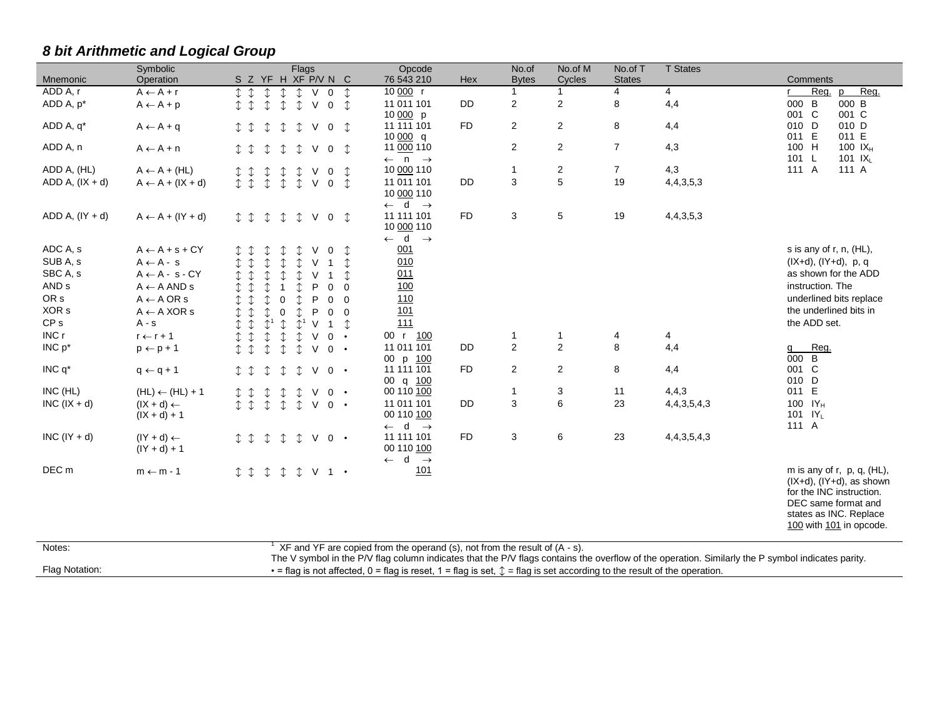|                   | Symbolic                               | Flags                                                                                                                       | Opcode                                                                      | No.of          | No.of M                 | No.of T        | <b>T</b> States  |                                       |
|-------------------|----------------------------------------|-----------------------------------------------------------------------------------------------------------------------------|-----------------------------------------------------------------------------|----------------|-------------------------|----------------|------------------|---------------------------------------|
| Mnemonic          | Operation                              | S Z YF H XF P/V N C                                                                                                         | 76 543 210<br>Hex                                                           | <b>Bytes</b>   | Cycles                  | <b>States</b>  |                  | <b>Comments</b>                       |
| ADD A, r          | $A \leftarrow A + r$                   | $\updownarrow \updownarrow$<br>$\downarrow$<br>I<br>$0 \quad \updownarrow$<br>$\vee$                                        | 10 000 r                                                                    | $\mathbf{1}$   | 1                       | $\overline{4}$ | 4                | Reg.<br>Reg.<br>D                     |
| ADD A, p*         | $A \leftarrow A + p$                   | $\vee$<br>I<br>$\mathbb{T}$<br>$\mathbb{C}$<br>$\mathbb{T}$<br>$\hat{I}$<br>$\mathbf 0$                                     | 11 011 101<br><b>DD</b>                                                     | $\overline{2}$ | $\mathbf 2$             | 8              | 4,4              | $\, {\bf B}$<br>000 B<br>000          |
|                   |                                        |                                                                                                                             | 10 000 p                                                                    |                |                         |                |                  | 001 C<br>001 C                        |
| ADD A, q*         | $A \leftarrow A + q$                   | $\updownarrow$<br>$\vee$<br>I<br>↥<br>↥<br>$0 \quad \updownarrow$                                                           | <b>FD</b><br>11 111 101                                                     | $\overline{2}$ | 2                       | 8              | 4,4              | 010 D<br>010 D                        |
| ADD A, n          |                                        |                                                                                                                             | 10000 q<br>11 000 110                                                       | $\overline{2}$ | $\overline{2}$          | $\overline{7}$ | 4,3              | 011 E<br>011 E<br>100 H<br>100 $IX_H$ |
|                   | $A \leftarrow A + n$                   | $0 \t 1$<br>I<br>$\updownarrow$<br>$\mathbbm{1}$<br>⇕<br>$\vee$                                                             | $\leftarrow$ n $\rightarrow$                                                |                |                         |                |                  | 101 L<br>101 $IX_L$                   |
| ADD A, (HL)       | $A \leftarrow A + (HL)$                | I<br>$\updownarrow$<br>$\mathbb{I}$<br>⇕<br>↥<br>V<br>$\mathbf{0}$                                                          | 10 000 110                                                                  | $\mathbf{1}$   | $\overline{\mathbf{c}}$ | $\overline{7}$ | 4,3              | 111 A<br>111 A                        |
| $ADD A, (IX + d)$ | $A \leftarrow A + (IX + d)$            | $\updownarrow$<br>$\updownarrow$<br>$\vee$<br>I<br>$\updownarrow$<br>$0 \quad \mathcal{I}$                                  | 11 011 101<br><b>DD</b>                                                     | 3              | $\overline{5}$          | 19             | 4,4,3,5,3        |                                       |
|                   |                                        |                                                                                                                             | 10 000 110                                                                  |                |                         |                |                  |                                       |
|                   |                                        |                                                                                                                             | $\leftarrow$ d $\rightarrow$                                                |                |                         |                |                  |                                       |
| ADD A, $(IV + d)$ | $A \leftarrow A + (IY + d)$            | $\begin{array}{cccc}\n\updownarrow & \updownarrow & \updownarrow\n\end{array}$<br>$\updownarrow$<br>$\updownarrow$<br>V 0 1 | 11 111 101<br>FD.                                                           | 3              | 5                       | 19             | 4, 4, 3, 5, 3    |                                       |
|                   |                                        |                                                                                                                             | 10 000 110                                                                  |                |                         |                |                  |                                       |
|                   |                                        |                                                                                                                             | $\leftarrow$ d $\rightarrow$                                                |                |                         |                |                  |                                       |
| ADC A, s          | $A \leftarrow A + s + CY$              | ↥<br>V<br>$\mathbf 0$                                                                                                       | 001                                                                         |                |                         |                |                  | s is any of r, n, (HL),               |
| SUB A, s          | $A \leftarrow A - s$                   | $\mathbbm{1}$<br>$\mathbb{C}$<br>$\mathbb{T}$<br>$\mathbb{C}$<br>↥<br>V<br>$\mathbf{1}$                                     | 010                                                                         |                |                         |                |                  | $(IX+d), (IY+d), p, q$                |
| SBC A, s          | $A \leftarrow A - s - CY$              | $\updownarrow$<br>$\mathbb{I}$<br>$\mathbb{C}$<br>$\hat{v}$<br>V<br>$\hat{r}$<br>$\mathbf{1}$                               | 011                                                                         |                |                         |                |                  | as shown for the ADD                  |
| AND <sub>s</sub>  | $A \leftarrow A AND s$                 | $\mathbb{C}$<br>$\mathbb{C}$<br>P<br>$\mathbf{0}$<br>$\mathbf{1}$<br>Ĵ.<br>$\overline{0}$                                   | 100                                                                         |                |                         |                |                  | instruction. The                      |
| OR <sub>s</sub>   | $A \leftarrow A \text{ OR } s$         | $\mathbb{C}$<br>$\mathbb{I}$<br>$\Omega$<br>$\mathbb{C}$<br>P<br>$0\quad 0$                                                 | 110                                                                         |                |                         |                |                  | underlined bits replace               |
| XOR <sub>s</sub>  | $\mathsf{A}\leftarrow\mathsf{A}$ XOR s | $\mathbb{C}$<br>$\updownarrow$<br>$\mathbb{T}$<br>$\mathbf 0$<br>$\mathbb{C}$<br>P<br>$0\quad 0$                            | 101                                                                         |                |                         |                |                  | the underlined bits in                |
| CP <sub>s</sub>   | $A - s$                                | $\updownarrow$<br>$\mathbb{C}^1$<br>$\mathbb{C}$<br>$\vee$<br>$\hat{L}^1$<br>$\uparrow$<br>$1 \quad \hat{ }$                | 111                                                                         |                |                         |                |                  | the ADD set.                          |
| INC r             | $r \leftarrow r + 1$                   | I<br>$\updownarrow$<br>$\updownarrow$<br>$\vee$<br>$\mathbb{C}$<br>$0 \cdot$                                                | 00 r 100                                                                    | 1              | $\mathbf{1}$            | 4              | 4                |                                       |
| $INC p^*$         | $p \leftarrow p + 1$                   | $I$ $I$<br>$\mathbb{C}$<br>$\mathbb{C}$<br>$\mathbb{C}$<br>$\vee$<br>$0 \cdot$                                              | 11 011 101<br><b>DD</b>                                                     | $\overline{2}$ | $\overline{2}$          | 8              | 4,4              | Reg.<br>q                             |
|                   |                                        |                                                                                                                             | 00 p 100                                                                    |                |                         |                |                  | B<br>000                              |
| INC $q^*$         | $q \leftarrow q + 1$                   | $\vee$<br>I<br>$\mathbb{C}$<br>⇕<br>$0 \cdot$<br>↥                                                                          | <b>FD</b><br>11 111 101                                                     | 2              | $\overline{2}$          | 8              | 4,4              | 001 C                                 |
| INC (HL)          |                                        |                                                                                                                             | 00 q 100<br>00 110 100                                                      | $\mathbf{1}$   |                         | 11             | 4,4,3            | 010 D<br>011 E                        |
|                   | $(HL) \leftarrow (HL) + 1$             | I<br>$\mathbb{T}$<br>1<br>V<br>$0 \cdot$<br>Ĵ.                                                                              | 11 011 101<br><b>DD</b>                                                     | 3              | 3<br>6                  | 23             | 4, 4, 3, 5, 4, 3 | 100 $IY_H$                            |
| $INC (IX + d)$    | $(X + d) \leftarrow$<br>$(IX + d) + 1$ | $\hat{L}$<br>$\mathbb{C}$<br>$\vee$<br>$\mathbb{I}$<br>$0 \cdot$<br>I                                                       | 00 110 100                                                                  |                |                         |                |                  | 101 $IY_L$                            |
|                   |                                        |                                                                                                                             | $\leftarrow$ d<br>$\rightarrow$                                             |                |                         |                |                  | 111 A                                 |
| $INC (IY + d)$    | $(Y + d) \leftarrow$                   | I<br>$\hat{I}$<br>$\mathbb{T}$<br>$V0$ .<br>$\mathbb{I}$                                                                    | 11 111 101<br><b>FD</b>                                                     | 3              | 6                       | 23             | 4, 4, 3, 5, 4, 3 |                                       |
|                   | $(1Y + d) + 1$                         |                                                                                                                             | 00 110 100                                                                  |                |                         |                |                  |                                       |
|                   |                                        |                                                                                                                             | $\leftarrow$ d<br>$\rightarrow$                                             |                |                         |                |                  |                                       |
| DEC <sub>m</sub>  | $m \leftarrow m - 1$                   | $\updownarrow$<br>$V1$ .<br>$I \downarrow \uparrow$<br>$\hat{I}$                                                            | 101                                                                         |                |                         |                |                  | m is any of r, p, q, $(HL)$ ,         |
|                   |                                        |                                                                                                                             |                                                                             |                |                         |                |                  | $(IX+d)$ , $(IV+d)$ , as shown        |
|                   |                                        |                                                                                                                             |                                                                             |                |                         |                |                  | for the INC instruction.              |
|                   |                                        |                                                                                                                             |                                                                             |                |                         |                |                  | DEC same format and                   |
|                   |                                        |                                                                                                                             |                                                                             |                |                         |                |                  | states as INC. Replace                |
|                   |                                        |                                                                                                                             |                                                                             |                |                         |                |                  | 100 with 101 in opcode.               |
| Notos:            |                                        |                                                                                                                             | YE and YE are copied from the operand $(c)$ not from the result of $(A, c)$ |                |                         |                |                  |                                       |

## *8 bit Arithmetic and Logical Group*

| Notes:         | $\pm$ XF and YF are copied from the operand (s), not from the result of (A - s).                                                                  |
|----------------|---------------------------------------------------------------------------------------------------------------------------------------------------|
|                | The V symbol in the P/V flag column indicates that the P/V flags contains the overflow of the operation. Similarly the P symbol indicates parity. |
| Flag Notation: | $\cdot$ = flag is not affected, 0 = flag is reset, 1 = flag is set, $\hat{L}$ = flag is set according to the result of the operation.             |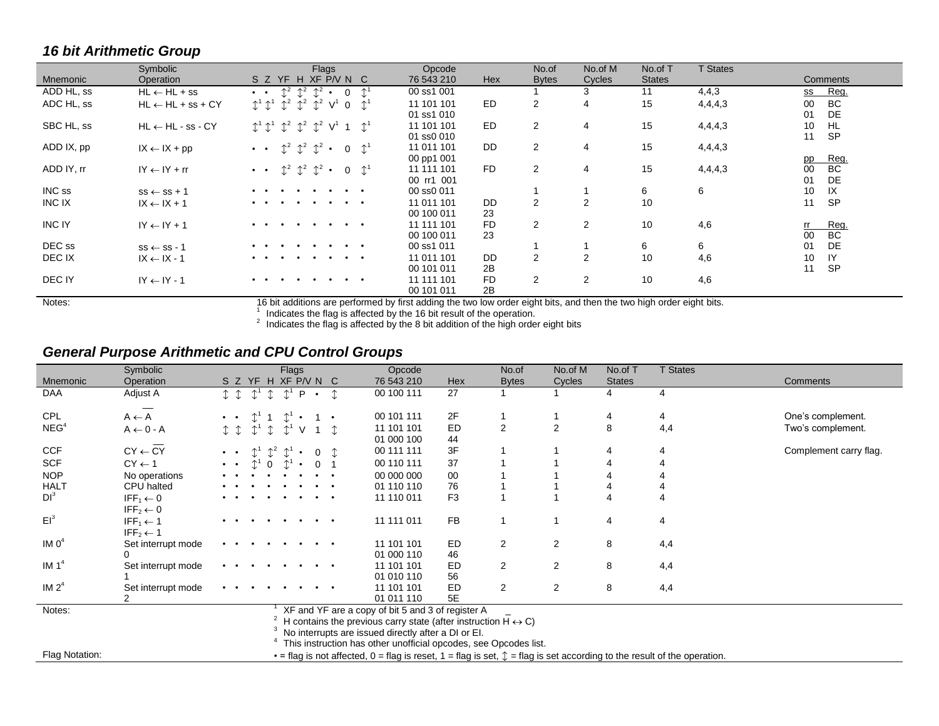### *16 bit Arithmetic Group*

|               | Symbolic                     | Flags                                                                                                                      | Opcode                   | No.of        | No.of M        | No.of T       | <b>T</b> States |                 |
|---------------|------------------------------|----------------------------------------------------------------------------------------------------------------------------|--------------------------|--------------|----------------|---------------|-----------------|-----------------|
| Mnemonic      | Operation                    | S Z YF H XF P/V N C                                                                                                        | <b>Hex</b><br>76 543 210 | <b>Bytes</b> | Cycles         | <b>States</b> |                 | Comments        |
| ADD HL, ss    | $HL \leftarrow HL + ss$      | $\mathbb{C}^2$<br>$\mathbb{C}^2$ $\mathbb{C}^2$ .<br>$\wedge$<br>$\mathbf 0$<br>$\bullet$ $\bullet$                        | 00 ss1 001               |              |                | 11            | 4,4,3           | Reg.<br>SS      |
| ADC HL, ss    | $HL \leftarrow HL + ss + CY$ | $\updownarrow^1 \updownarrow^1 \updownarrow^2 \updownarrow^2 \updownarrow^2 \updownarrow^2 V^1$<br>$\uparrow$<br>$\Omega$  | ED.<br>11 101 101        | 2            | 4              | 15            | 4,4,4,3         | BC<br>00        |
|               |                              |                                                                                                                            | 01 ss1 010               |              |                |               |                 | DE<br>01        |
| SBC HL, ss    | $HL \leftarrow HL - ss - CY$ | $\updownarrow^1 \updownarrow^1$ $\updownarrow^2$ $\updownarrow^2$ $\updownarrow^2$ $\vee$ <sup>1</sup> 1<br>$\mathbb{C}^1$ | ED.<br>11 101 101        | 2            | 4              | 15            | 4,4,4,3         | <b>HL</b><br>10 |
|               |                              |                                                                                                                            | 01 ss0 010               |              |                |               |                 | <b>SP</b><br>11 |
| ADD IX, pp    | $IX \leftarrow IX + pp$      | $\mathbb{C}^2$ $\mathbb{C}^2$ $\mathbb{C}^2$ .<br>$0 \quad \mathbb{C}^1$<br>$\bullet$ $\bullet$                            | <b>DD</b><br>11 011 101  | 2            | 4              | 15            | 4,4,4,3         |                 |
|               |                              |                                                                                                                            | 00 pp1 001               |              |                |               |                 | Reg.<br>pp      |
| ADD IY, rr    | $IY \leftarrow IY + rr$      | $\mathbb{1}^2$ $\mathbb{1}^2$ $\mathbb{1}^2$ .<br>$0 \quad \mathbb{C}^1$<br>$\bullet$ $\bullet$                            | <b>FD</b><br>11 111 101  | 2            | 4              | 15            | 4,4,4,3         | BC<br>00        |
|               |                              |                                                                                                                            | 00 rr1 001               |              |                |               |                 | DE<br>01        |
| INC ss        | $ss \leftarrow ss + 1$       | $\cdot$ $\cdot$                                                                                                            | 00 ss0 011               |              |                | 6             | 6               | IX<br>10        |
| INC IX        | $IX \leftarrow IX + 1$       | $\bullet$ $\bullet$<br>$\bullet$<br>$\bullet$                                                                              | <b>DD</b><br>11 011 101  | 2            | $\overline{2}$ | 10            |                 | <b>SP</b><br>11 |
|               |                              |                                                                                                                            | 00 100 011<br>23         |              |                |               |                 |                 |
| <b>INC IY</b> | $IY \leftarrow IY + 1$       | $\bullet$ $\bullet$<br>$\cdot$ $\cdot$                                                                                     | <b>FD</b><br>11 111 101  | 2            | $\overline{2}$ | 10            | 4,6             | Reg.<br>rr.     |
|               |                              |                                                                                                                            | 23<br>00 100 011         |              |                |               |                 | <b>BC</b><br>00 |
| DEC ss        | $ss \leftarrow ss - 1$       | $\bullet$ $\bullet$                                                                                                        | 00 ss1 011               |              |                | 6             | 6               | DE<br>01        |
| DEC IX        | $IX \leftarrow IX - 1$       | $\cdot$ $\cdot$<br>$\ddot{\phantom{a}}$<br>$\bullet$<br>$\bullet$                                                          | <b>DD</b><br>11 011 101  | 2            | $\overline{2}$ | 10            | 4,6             | IY<br>10        |
|               |                              |                                                                                                                            | 2B<br>00 101 011         |              |                |               |                 | <b>SP</b><br>11 |
| DEC IY        | $IY \leftarrow IY - 1$       | $\cdot$ $\cdot$<br>$\cdot$ $\cdot$<br>$\bullet$<br>$\bullet$ $\bullet$                                                     | <b>FD</b><br>11 111 101  | 2            | $\overline{2}$ | 10            | 4,6             |                 |
|               |                              |                                                                                                                            | 2B<br>00 101 011         |              |                |               |                 |                 |

Notes:<br>16 bit additions are performed by first adding the two low order eight bits, and then the two high order eight bits.<br><sup>2</sup> Indicates the flag is affected by the 8 bit addition of the high order eight bits<br><sup>2</sup> Indicat

#### *General Purpose Arithmetic and CPU Control Groups*

|                   | Symbolic                        |                              | Flags                                                    |                     | Opcode                                                                         |                | No.of          | No.of M        | No.of T       | <b>T States</b>                                                                                                                            |                        |
|-------------------|---------------------------------|------------------------------|----------------------------------------------------------|---------------------|--------------------------------------------------------------------------------|----------------|----------------|----------------|---------------|--------------------------------------------------------------------------------------------------------------------------------------------|------------------------|
| Mnemonic          | Operation                       |                              | S Z YF H XF P/V N C                                      |                     | 76 543 210                                                                     | Hex            | <b>Bytes</b>   | Cycles         | <b>States</b> |                                                                                                                                            | Comments               |
| DAA               | Adjust A                        | $\updownarrow^1$<br>I        | $\textcolor{black}{\updownarrow}^1$<br>P<br>$\mathbb{I}$ | $\bullet$           | 00 100 111                                                                     | 27             |                |                | 4             | 4                                                                                                                                          |                        |
|                   |                                 |                              |                                                          |                     |                                                                                |                |                |                |               |                                                                                                                                            |                        |
| <b>CPL</b>        | $A \leftarrow A$                |                              |                                                          |                     | 00 101 111                                                                     | 2F             |                |                | 4             | 4                                                                                                                                          | One's complement.      |
| NEG <sup>4</sup>  | $A \leftarrow 0 - A$            | $\mathbb{C}^1$ $\uparrow$    | $\uparrow^1$                                             |                     | 11 101 101                                                                     | <b>ED</b>      | $\overline{2}$ | 2              | 8             | 4,4                                                                                                                                        | Two's complement.      |
|                   |                                 |                              |                                                          |                     | 01 000 100                                                                     | 44             |                |                |               |                                                                                                                                            |                        |
| <b>CCF</b>        | $CY \leftarrow CY$              |                              | $\uparrow^2$ $\uparrow^1$                                | $\Omega$            | 00 111 111                                                                     | 3F             |                |                | 4             | 4                                                                                                                                          | Complement carry flag. |
| <b>SCF</b>        | $CY \leftarrow 1$               | $\bullet$ $\qquad$ $\bullet$ | $\Omega$                                                 |                     | 00 110 111                                                                     | 37             |                |                |               |                                                                                                                                            |                        |
| <b>NOP</b>        | No operations                   |                              |                                                          |                     | 00 000 000                                                                     | 00             |                |                |               |                                                                                                                                            |                        |
| <b>HALT</b>       | CPU halted                      |                              |                                                          |                     | 01 110 110                                                                     | 76             |                |                |               |                                                                                                                                            |                        |
| DI <sup>3</sup>   | IFF <sub>1</sub> $\leftarrow$ 0 |                              | $\bullet$                                                | $\bullet$ $\bullet$ | 11 110 011                                                                     | F <sub>3</sub> |                |                |               |                                                                                                                                            |                        |
|                   | IFF <sub>2</sub> $\leftarrow$ 0 |                              |                                                          |                     |                                                                                |                |                |                |               |                                                                                                                                            |                        |
| $EI^3$            | IFF <sub>1</sub> $\leftarrow$ 1 |                              |                                                          | $\bullet$ $\bullet$ | 11 111 011                                                                     | FB             | 1              |                | 4             | 4                                                                                                                                          |                        |
|                   | IFF <sub>2</sub> $\leftarrow$ 1 |                              |                                                          |                     |                                                                                |                |                |                |               |                                                                                                                                            |                        |
| IM O <sup>4</sup> | Set interrupt mode              |                              |                                                          | $\bullet$ $\bullet$ | 11 101 101                                                                     | ED             | $\overline{2}$ | $\overline{2}$ | 8             | 4,4                                                                                                                                        |                        |
|                   |                                 |                              |                                                          |                     | 01 000 110                                                                     | 46             |                |                |               |                                                                                                                                            |                        |
| IM $14$           | Set interrupt mode              |                              |                                                          |                     | 11 101 101                                                                     | ED             | 2              | 2              | 8             | 4,4                                                                                                                                        |                        |
|                   |                                 |                              |                                                          |                     | 01 010 110                                                                     | 56             |                |                |               |                                                                                                                                            |                        |
| IM $2^4$          | Set interrupt mode              | $\cdot$ $\cdot$              |                                                          |                     | 11 101 101                                                                     | ED<br>5E       | $\overline{2}$ | $\overline{2}$ | 8             | 4,4                                                                                                                                        |                        |
| Notes:            |                                 |                              |                                                          |                     | 01 011 110<br>XF and YF are a copy of bit 5 and 3 of register A                |                |                |                |               |                                                                                                                                            |                        |
|                   |                                 |                              |                                                          |                     | H contains the previous carry state (after instruction $H \leftrightarrow C$ ) |                |                |                |               |                                                                                                                                            |                        |
|                   |                                 |                              |                                                          |                     | No interrupts are issued directly after a DI or EI.                            |                |                |                |               |                                                                                                                                            |                        |
|                   |                                 |                              |                                                          |                     | This instruction has other unofficial opcodes, see Opcodes list.               |                |                |                |               |                                                                                                                                            |                        |
| Flag Notation:    |                                 |                              |                                                          |                     |                                                                                |                |                |                |               | $\cdot$ = flag is not affected, 0 = flag is reset, 1 = flag is set, $\updownarrow$ = flag is set according to the result of the operation. |                        |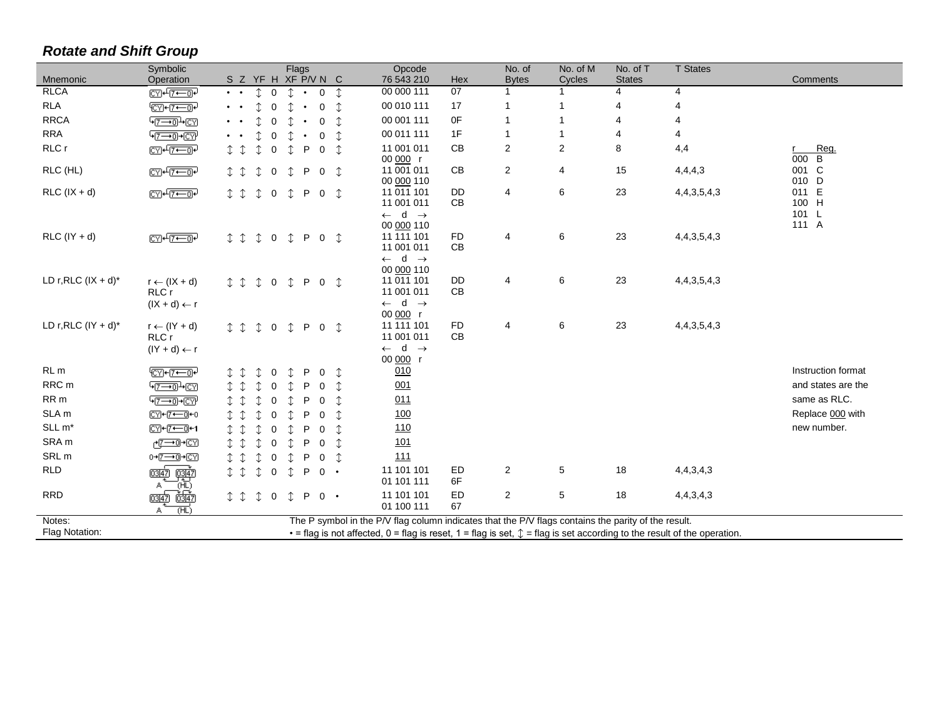## *Rotate and Shift Group*

| Mnemonic                  | Symbolic<br>Operation                                                                  | Flags<br>S Z YF H XF P/V N C                                                                                                           | Opcode<br>76 543 210                                                                                 | Hex             | No. of<br><b>Bytes</b> | No. of M<br>Cycles | No. of T<br><b>States</b> | <b>T</b> States  | Comments               |
|---------------------------|----------------------------------------------------------------------------------------|----------------------------------------------------------------------------------------------------------------------------------------|------------------------------------------------------------------------------------------------------|-----------------|------------------------|--------------------|---------------------------|------------------|------------------------|
| <b>RLCA</b>               | <b>CYH7-0-</b>                                                                         | $\hat{r}$<br>$\hat{r}$<br>$\overline{0}$<br>$\mathbf 0$<br>$\mathbb{C}$<br>$\bullet$ $\qquad$ $\bullet$                                | 00 000 111                                                                                           | $\overline{07}$ | $\mathbf 1$            |                    | 4                         | $\overline{4}$   |                        |
| <b>RLA</b>                | $\sqrt{\text{C}Y}$ + $\sqrt{7}-0$                                                      | $\updownarrow$<br>$\uparrow$<br>$\Omega$<br>↑<br>$\Omega$                                                                              | 00 010 111                                                                                           | 17              | $\overline{1}$         |                    | 4                         | $\overline{A}$   |                        |
| <b>RRCA</b>               | $\sqrt{7-10}$ $\pm$ CY                                                                 | $\hat{\mathbb{I}}$<br>$\hat{r}$<br>$\Omega$<br>$\mathbf 0$                                                                             | 00 001 111                                                                                           | 0F              | $\overline{1}$         |                    | 4                         | 4                |                        |
| <b>RRA</b>                | $\sqrt{7-10+CV}$                                                                       | $\mathbb{C}$<br>$\Omega$<br>↑<br>$\Omega$                                                                                              | 00 011 111                                                                                           | 1F              | $\mathbf{1}$           |                    | 4                         | 4                |                        |
| RLC r                     | <b>CYI+7-0-</b>                                                                        | $I$ $I$<br>↥<br>Ĵ.<br>$\Omega$<br>Ĵ.<br>P<br>$\Omega$                                                                                  | 11 001 011<br>00 000 r                                                                               | CB              | 2                      | $\overline{2}$     | 8                         | 4,4              | Reg.<br>r.<br>000<br>B |
| RLC (HL)                  | <b>CYP+12<del>00</del>P</b>                                                            | $I$ $I$<br>$\mathbb{C}$<br>$\mathbbm{1}$<br>$\mathbf 0$<br>P<br>$\overline{0}$                                                         | 11 001 011<br>00 000 110                                                                             | CB              | 2                      | 4                  | 15                        | 4,4,4,3          | 001 C<br>010 D         |
| $RLC$ ( $IX + d$ )        | <b>CYP+ 7+ 0P</b>                                                                      | I<br>$\mathbb{I}$<br>$\mathbf 0$<br>$\mathbb{I}$<br>P<br>$\overline{0}$<br>$\mathbb{I}$                                                | 11 011 101<br>11 001 011                                                                             | <b>DD</b><br>CB | 4                      | 6                  | 23                        | 4, 4, 3, 5, 4, 3 | 011 E<br>100 H         |
| $RLC (IY + d)$            | $CVI + T \rightarrow T$                                                                | I<br>$\updownarrow$<br>$\updownarrow$<br>P<br>$\mathbf 0$<br>$\mathbb{C}$<br>$\overline{0}$                                            | $\leftarrow$ d $\rightarrow$<br>00 000 110<br>11 111 101<br>11 001 011                               | <b>FD</b><br>CB | 4                      | 6                  | 23                        | 4, 4, 3, 5, 4, 3 | 101 L<br>111 A         |
| LD $r, RLC$ ( $IX + d$ )* | $r \leftarrow (IX + d)$<br>RLC r                                                       | ⇕<br>$\updownarrow$<br>P<br>I<br>0<br>$\overline{0}$<br>↥                                                                              | $\leftarrow$ d $\rightarrow$<br>00 000 110<br>11 011 101<br>11 001 011                               | <b>DD</b><br>CB | 4                      | 6                  | 23                        | 4, 4, 3, 5, 4, 3 |                        |
| LD $r, RLC$ (IY + d)*     | $(IX + d) \leftarrow r$<br>$r \leftarrow (lY + d)$<br>RLC r<br>$(1Y + d) \leftarrow r$ | $\mathbb{C}$<br>P<br>$T$ $T$<br>$\mathbb{T}$<br>$\mathbf 0$<br>$\overline{0}$<br>↥                                                     | $\leftarrow$ d $\rightarrow$<br>00 000 r<br>11 111 101<br>11 001 011<br>$\leftarrow$ d $\rightarrow$ | <b>FD</b><br>CB | 4                      | 6                  | 23                        | 4, 4, 3, 5, 4, 3 |                        |
| RL <sub>m</sub>           | $\sqrt{\text{CY}+\text{7}-\text{7}}$                                                   | ↥<br>P<br>$\mathbf 0$<br>0                                                                                                             | 00 000 r<br>010                                                                                      |                 |                        |                    |                           |                  | Instruction format     |
| RRC <sub>m</sub>          | $\sqrt{7-10}$ $\sqrt{CN}$                                                              | ↥<br>⇕<br>Ĵ.<br>0<br>P<br>0                                                                                                            | 001                                                                                                  |                 |                        |                    |                           |                  | and states are the     |
| RR <sub>m</sub>           | $\sqrt{7-10+CV}$                                                                       | $\mathbb{I}$<br>$\Omega$<br>↑<br>P<br>0                                                                                                | 011                                                                                                  |                 |                        |                    |                           |                  | same as RLC.           |
| SLA <sub>m</sub>          | CYH-7←0+0                                                                              | $\hat{L}$<br>$\Omega$<br>$\Omega$                                                                                                      | 100                                                                                                  |                 |                        |                    |                           |                  | Replace 000 with       |
| SLL m <sup>*</sup>        | CYH7←1                                                                                 | $\updownarrow$<br>Ĵ.<br>0<br>P<br>0                                                                                                    | <u>110</u>                                                                                           |                 |                        |                    |                           |                  | new number.            |
| SRA <sub>m</sub>          | <u>⊬দেনো</u> +তেপ                                                                      | $\hat{\mathbb{I}}$<br>0<br>P<br>0                                                                                                      | <u>101</u>                                                                                           |                 |                        |                    |                           |                  |                        |
| SRL <sub>m</sub>          | 0→[7-->0]→[CY]                                                                         | $\hat{\mathbb{I}}$<br>$\mathbb{C}$<br>$\mathbb{C}$<br>$\mathbf 0$<br>$\mathbb{C}$<br>P<br>0                                            | 111                                                                                                  |                 |                        |                    |                           |                  |                        |
| <b>RLD</b>                | <u> एञ्जुक्</u><br>0347                                                                | $T$ $T$<br>$\mathbf 0$<br>$\mathbb{T}$<br>P<br>$0 \cdot$<br>$\mathfrak{I}$                                                             | 11 101 101<br>01 101 111                                                                             | ED<br>6F        | $\overline{2}$         | $\,$ 5 $\,$        | 18                        | 4,4,3,4,3        |                        |
| <b>RRD</b>                | ΉŪ<br>केलिंग<br>03147<br>സ്<br>А                                                       | I<br>$\mathbb{T}$<br>$\mathbf 0$<br>$\mathbb{C}$<br>P<br>$0 \cdot$                                                                     | 11 101 101<br>01 100 111                                                                             | ED<br>67        | $\overline{2}$         | $\,$ 5 $\,$        | 18                        | 4,4,3,4,3        |                        |
| Notes:                    |                                                                                        | The P symbol in the P/V flag column indicates that the P/V flags contains the parity of the result.                                    |                                                                                                      |                 |                        |                    |                           |                  |                        |
| Flag Notation:            |                                                                                        | $\cdot$ = flag is not affected, 0 = flag is reset, 1 = flag is set, $\uparrow$ = flag is set according to the result of the operation. |                                                                                                      |                 |                        |                    |                           |                  |                        |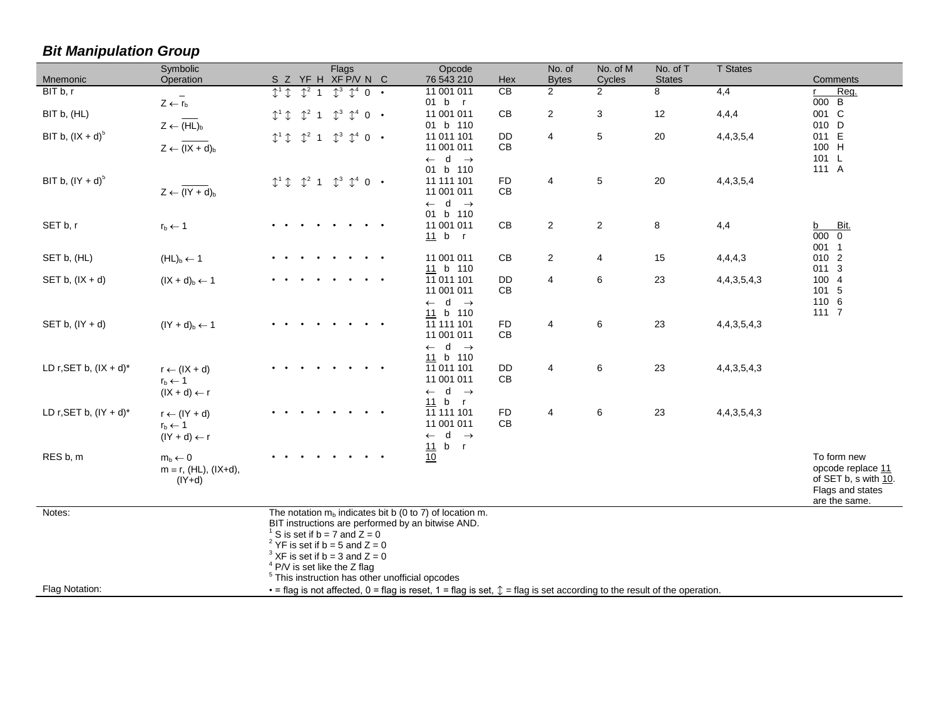| Mnemonic                  | Symbolic<br>Operation                                                    | Flags<br>S Z YF H XF P/V N C                                                                                                                                                                                                                                                                                                                       | Opcode<br>76 543 210                                                 | Hex              | No. of<br><b>Bytes</b>  | No. of M<br>Cycles | No. of T<br><b>States</b> | <b>T</b> States  | Comments                                                                                      |
|---------------------------|--------------------------------------------------------------------------|----------------------------------------------------------------------------------------------------------------------------------------------------------------------------------------------------------------------------------------------------------------------------------------------------------------------------------------------------|----------------------------------------------------------------------|------------------|-------------------------|--------------------|---------------------------|------------------|-----------------------------------------------------------------------------------------------|
| BIT b, r                  | $\overline{\phantom{a}}$<br>$Z \leftarrow r_b$                           | $I^1$<br>$\int^{2}$ 1<br>$\mathbb{T}^3$<br>$\updownarrow^4 0$ .                                                                                                                                                                                                                                                                                    | 11 001 011<br>01 b r                                                 | $\overline{CB}$  | $\overline{2}$          | $\overline{2}$     | 8                         | 4,4              | Reg.<br>000 B                                                                                 |
| BIT b, (HL)               | $Z \leftarrow (HL)_b$                                                    | $\mathbb{C}^3$<br>$\mathbb{C}^4$<br>$\mathcal{L}^2$<br>$\mathbb{C}^1$<br>$\overline{1}$<br>$0 \cdot$                                                                                                                                                                                                                                               | 11 001 011<br>01 b 110                                               | $\mathsf{CB}$    | $\mathbf{2}$            | $\mathbf{3}$       | 12                        | 4,4,4            | 001 C<br>010 D                                                                                |
| BIT b, $(IX + d)^{5}$     | $Z \leftarrow (IX + d)_b$                                                | $\textcolor{red}{\updownarrow}^2$ 1<br>$\mathbb{C}^3$ $\mathbb{C}^4$ 0 $\cdot$<br>$I^1$                                                                                                                                                                                                                                                            | 11 011 101<br>11 001 011<br>$\leftarrow$ d $\rightarrow$             | <b>DD</b><br>CB  | 4                       | 5                  | 20                        | 4, 4, 3, 5, 4    | 011 E<br>100 H<br>101 L                                                                       |
| BIT b, $(1Y + d)^5$       | $Z \leftarrow (IY + d)_b$                                                | $\updownarrow^3$ $\updownarrow^4$ 0 $\cdot$<br>$\updownarrow^2$ 1<br>$I^1$                                                                                                                                                                                                                                                                         | 01 b 110<br>11 111 101<br>11 001 011<br>$\leftarrow$ d $\rightarrow$ | <b>FD</b><br>CB  | $\overline{\mathbf{4}}$ | $\sqrt{5}$         | $20\,$                    | 4,4,3,5,4        | 111 A                                                                                         |
| SET b, r                  | $r_b \leftarrow 1$                                                       |                                                                                                                                                                                                                                                                                                                                                    | 01 b 110<br>11 001 011<br>11 b r                                     | CB               | $\overline{2}$          | $\overline{c}$     | 8                         | 4,4              | b Bit.<br>000 0<br>001 1                                                                      |
| SET b, (HL)               | $(HL)b \leftarrow 1$                                                     |                                                                                                                                                                                                                                                                                                                                                    | 11 001 011<br>11 b 110                                               | CB               | $\overline{2}$          | 4                  | 15                        | 4,4,4,3          | 010 2<br>011 3                                                                                |
| SET b, $(IX + d)$         | $(IX + d)b \leftarrow 1$                                                 |                                                                                                                                                                                                                                                                                                                                                    | 11 011 101<br>11 001 011<br>$\leftarrow$ d $\rightarrow$             | <b>DD</b><br>CB  | 4                       | $\,6$              | 23                        | 4, 4, 3, 5, 4, 3 | 100 4<br>101 5<br>110 6                                                                       |
| SET b, $(IV + d)$         | $(1Y + d)b \leftarrow 1$                                                 |                                                                                                                                                                                                                                                                                                                                                    | 11 b 110<br>11 111 101<br>11 001 011<br>$\leftarrow$ d $\rightarrow$ | <b>FD</b><br>CB  | $\overline{4}$          | $\,6\,$            | 23                        | 4, 4, 3, 5, 4, 3 | 1117                                                                                          |
| LD r, SET b, $(IX + d)^*$ | $r \leftarrow (IX + d)$<br>$r_b \leftarrow 1$<br>$(IX + d) \leftarrow r$ |                                                                                                                                                                                                                                                                                                                                                    | 11 b 110<br>11 011 101<br>11 001 011<br>$\leftarrow$ d $\rightarrow$ | DD<br>CB         | 4                       | 6                  | 23                        | 4, 4, 3, 5, 4, 3 |                                                                                               |
| LD r, SET b, $(IV + d)^*$ | $r \leftarrow (lY + d)$<br>$r_b \leftarrow 1$<br>$(1Y + d) \leftarrow r$ |                                                                                                                                                                                                                                                                                                                                                    | 11 b r<br>11 111 101<br>11 001 011<br>$\leftarrow$ d $\rightarrow$   | ${\sf FD}$<br>CB | 4                       | 6                  | 23                        | 4,4,3,5,4,3      |                                                                                               |
| RES b, m                  | $m_b \leftarrow 0$<br>$m \equiv r$ , (HL), (IX+d),<br>$(IV+d)$           |                                                                                                                                                                                                                                                                                                                                                    | 11 b r<br>$\overline{10}$                                            |                  |                         |                    |                           |                  | To form new<br>opcode replace 11<br>of SET b, s with 10.<br>Flags and states<br>are the same. |
| Notes:                    |                                                                          | The notation $m_b$ indicates bit b (0 to 7) of location m.<br>BIT instructions are performed by an bitwise AND.<br><sup>1</sup> S is set if $b = 7$ and $Z = 0$<br><sup>2</sup> YF is set if b = 5 and $Z = 0$<br>$3$ XF is set if b = 3 and Z = 0<br>$4$ P/V is set like the Z flag<br><sup>5</sup> This instruction has other unofficial opcodes |                                                                      |                  |                         |                    |                           |                  |                                                                                               |
| Flag Notation:            |                                                                          | $\cdot$ = flag is not affected, 0 = flag is reset, 1 = flag is set, $\hat{\psi}$ = flag is set according to the result of the operation.                                                                                                                                                                                                           |                                                                      |                  |                         |                    |                           |                  |                                                                                               |

*Bit Manipulation Group*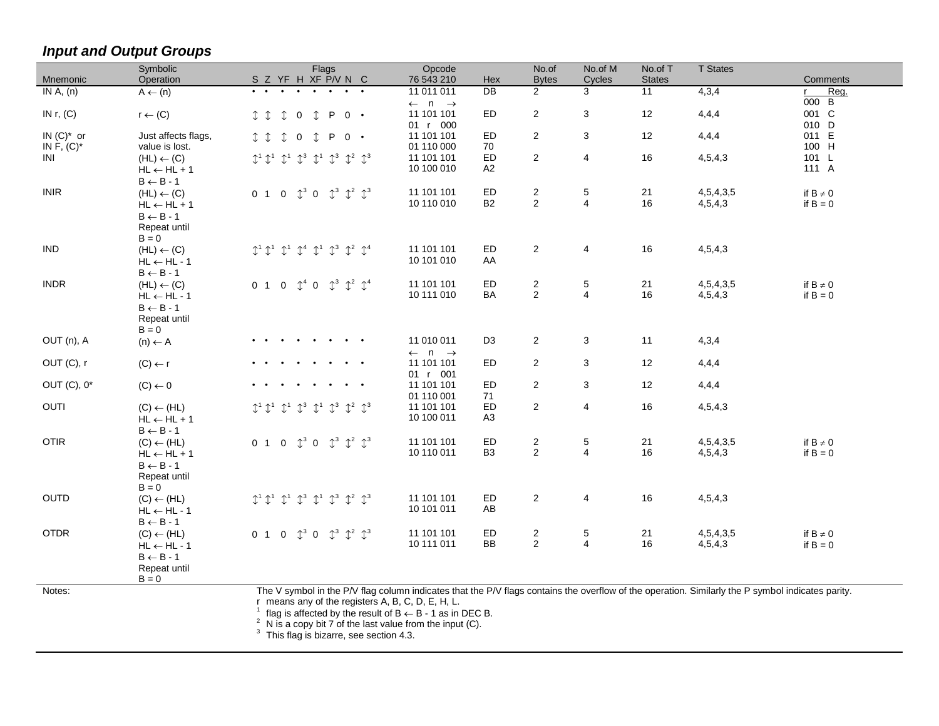# *Input and Output Groups*

|                                  | Symbolic                                                                                           | Flags                                                                                                                                                                                                                                                                                                                                                                                             | Opcode                                                        | No.of                              | No.of M                                | No.of T       | <b>T</b> States      |                                  |
|----------------------------------|----------------------------------------------------------------------------------------------------|---------------------------------------------------------------------------------------------------------------------------------------------------------------------------------------------------------------------------------------------------------------------------------------------------------------------------------------------------------------------------------------------------|---------------------------------------------------------------|------------------------------------|----------------------------------------|---------------|----------------------|----------------------------------|
| Mnemonic                         | Operation                                                                                          | S Z YF H XF P/V N C                                                                                                                                                                                                                                                                                                                                                                               | 76 543 210<br>Hex                                             | <b>Bytes</b>                       | Cycles                                 | <b>States</b> |                      | Comments                         |
| IN $A$ , $(n)$                   | $A \leftarrow (n)$                                                                                 |                                                                                                                                                                                                                                                                                                                                                                                                   | $\overline{DB}$<br>11 011 011<br>$\leftarrow$ n $\rightarrow$ | $\overline{2}$                     | 3                                      | 11            | 4,3,4                | Reg.<br>$\mathsf{r}$<br>B<br>000 |
| IN $r, (C)$                      | $r \leftarrow (C)$                                                                                 | P<br>I<br>$\mathbb{T}$<br>$\overline{0}$<br>$\downarrow$<br>$0 \cdot$                                                                                                                                                                                                                                                                                                                             | ED<br>11 101 101<br>01 r 000                                  | 2                                  | 3                                      | 12            | 4,4,4                | 001 C<br>010 D                   |
| $IN(C)^*$ or<br>IN $F$ , $(C)^*$ | Just affects flags,<br>value is lost.                                                              | P<br>$\mathbb{T}$<br>$\mathbf 0$<br>$\mathbb{T}$<br>$0 \cdot$<br>$\mathbb{T}$                                                                                                                                                                                                                                                                                                                     | ED<br>11 101 101<br>01 110 000<br>70                          | 2                                  | 3                                      | 12            | 4,4,4                | 011 E<br>100 H                   |
| INI                              | $(HL) \leftarrow (C)$<br>$HL \leftarrow HL + 1$<br>$B \leftarrow B - 1$                            | $\mathbb{C}^3$<br>$\mathbb{C}^3$<br>$\mathbb{C}^1$<br>$\mathbb{1}^2$ $\mathbb{1}^3$<br>$\uparrow$ <sup>1</sup> $\uparrow$ <sup>1</sup><br>$\uparrow^1$                                                                                                                                                                                                                                            | ED<br>11 101 101<br>10 100 010<br>A2                          | $\overline{2}$                     | 4                                      | 16            | 4,5,4,3              | 101 L<br>111 A                   |
| <b>INIR</b>                      | $(HL) \leftarrow (C)$<br>$HL \leftarrow HL + 1$<br>$B \leftarrow B - 1$<br>Repeat until<br>$B = 0$ | $\updownarrow^3$ 0 $\updownarrow^3$<br>$\mathbb{1}^2$ $\mathbb{1}^3$<br>$\overline{0}$<br>0 <sub>1</sub>                                                                                                                                                                                                                                                                                          | 11 101 101<br>ED<br><b>B2</b><br>10 110 010                   | $\overline{c}$<br>$\overline{2}$   | $\mathbf 5$<br>$\overline{\mathbf{4}}$ | 21<br>16      | 4,5,4,3,5<br>4,5,4,3 | if $B \neq 0$<br>if $B = 0$      |
| <b>IND</b>                       | $(HL) \leftarrow (C)$<br>$HL \leftarrow HL - 1$<br>$\text{B} \leftarrow \text{B}$ - 1              | $\mathbb{C}^3$<br>$\mathbb{C}^1$ $\mathbb{C}^1$<br>$\mathbb{C}^1$<br>$\mathbb{C}^4$<br>$\mathbb{C}^1$<br>$\mathbb{1}^2$ $\mathbb{1}^4$                                                                                                                                                                                                                                                            | ED<br>11 101 101<br>10 101 010<br>AA                          | $\overline{2}$                     | 4                                      | 16            | 4,5,4,3              |                                  |
| <b>INDR</b>                      | $(HL) \leftarrow (C)$<br>$HL \leftarrow HL - 1$<br>$B \leftarrow B - 1$<br>Repeat until<br>$B = 0$ | $\mathbb{C}^3$<br>$\mathbb{C}^2$ $\mathbb{C}^4$<br>$\mathbb{C}^4$<br>$\overline{0}$<br>0 <sub>1</sub><br>$\mathbf 0$                                                                                                                                                                                                                                                                              | ED<br>11 101 101<br>BA<br>10 111 010                          | $\overline{2}$<br>$\overline{2}$   | 5<br>$\overline{4}$                    | 21<br>16      | 4,5,4,3,5<br>4,5,4,3 | if $B \neq 0$<br>if $B = 0$      |
| OUT (n), A                       | $(n) \leftarrow A$                                                                                 | $\bullet\qquad\bullet$                                                                                                                                                                                                                                                                                                                                                                            | 11 010 011<br>D <sub>3</sub><br>$\leftarrow$ n $\rightarrow$  | $\overline{2}$                     | 3                                      | 11            | 4,3,4                |                                  |
| OUT (C), r                       | $(C) \leftarrow r$                                                                                 | $\bullet$ $\bullet$                                                                                                                                                                                                                                                                                                                                                                               | 11 101 101<br>ED<br>01 r 001                                  | $\overline{2}$                     | 3                                      | 12            | 4,4,4                |                                  |
| OUT $(C)$ , $0^*$                | $(C) \leftarrow 0$                                                                                 |                                                                                                                                                                                                                                                                                                                                                                                                   | 11 101 101<br>ED<br>71<br>01 110 001                          | 2                                  | 3                                      | 12            | 4,4,4                |                                  |
| OUTI                             | $(C) \leftarrow (HL)$<br>$HL \leftarrow HL + 1$<br>$B \leftarrow B - 1$                            | $\mathbb{L}^3$<br>$\mathbb{1}^2$ $\mathbb{1}^3$<br>$\uparrow^3$<br>$\uparrow^1$                                                                                                                                                                                                                                                                                                                   | 11 101 101<br><b>ED</b><br>10 100 011<br>A3                   | 2                                  | 4                                      | 16            | 4,5,4,3              |                                  |
| <b>OTIR</b>                      | $(C) \leftarrow (HL)$<br>$HL \leftarrow HL + 1$<br>$B \leftarrow B - 1$<br>Repeat until<br>$B = 0$ | $\uparrow^3$ 0 $\uparrow^3$ $\uparrow^2$ $\uparrow^3$<br>$\mathbf{0}$<br>0 <sub>1</sub>                                                                                                                                                                                                                                                                                                           | ED<br>11 101 101<br>10 110 011<br>B <sub>3</sub>              | $\sqrt{2}$<br>2                    | $\mathbf 5$<br>$\overline{4}$          | 21<br>16      | 4,5,4,3,5<br>4,5,4,3 | if $B \neq 0$<br>if $B = 0$      |
| <b>OUTD</b>                      | $(C) \leftarrow (HL)$<br>$HL \leftarrow HL - 1$<br>$B \leftarrow B - 1$                            | $\mathbb{C}^3$<br>$\mathbb{C}^1$<br>$\mathbb{C}^3$<br>$\mathbb{1}^2$ $\mathbb{1}^3$<br>$\mathbb{C}^1$<br>$\uparrow$ <sup>1</sup> $\uparrow$ <sup>1</sup>                                                                                                                                                                                                                                          | ED<br>11 101 101<br>10 101 011<br>AB                          | $\overline{2}$                     | 4                                      | 16            | 4,5,4,3              |                                  |
| <b>OTDR</b>                      | $(C) \leftarrow (HL)$<br>$HL \leftarrow HL - 1$<br>$B \leftarrow B - 1$<br>Repeat until<br>$B = 0$ | $\mathbb{1}^2$ $\mathbb{1}^3$<br>$\mathbb{C}^3$<br>$\mathbb{T}^3$<br>$\Omega$<br>0 <sub>1</sub><br>$\Omega$                                                                                                                                                                                                                                                                                       | ED<br>11 101 101<br><b>BB</b><br>10 111 011                   | $\boldsymbol{2}$<br>$\overline{2}$ | $\mathbf 5$<br>$\overline{4}$          | 21<br>16      | 4,5,4,3,5<br>4,5,4,3 | if $B \neq 0$<br>if $B = 0$      |
| Notes:                           |                                                                                                    | The V symbol in the P/V flag column indicates that the P/V flags contains the overflow of the operation. Similarly the P symbol indicates parity.<br>r means any of the registers A, B, C, D, E, H, L.<br>flag is affected by the result of $B \leftarrow B - 1$ as in DEC B.<br>N is a copy bit $7$ of the last value from the input (C).<br><sup>3</sup> This flag is bizarre, see section 4.3. |                                                               |                                    |                                        |               |                      |                                  |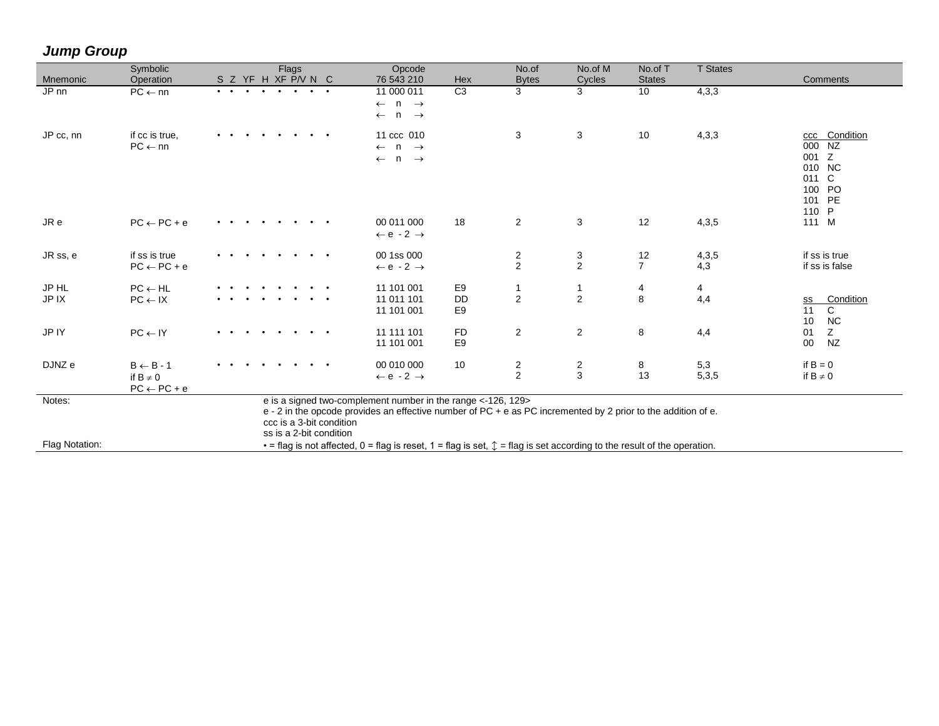| Mnemonic           | Symbolic<br>Operation                                           | Flags<br>S Z YF H XF P/V N C                                                                                                                                                                                                         | Opcode<br>76 543 210                                                             | Hex                                           | No.of<br><b>Bytes</b> | No.of M<br><b>Cycles</b> | No.of T<br><b>States</b> | <b>T</b> States | Comments                                                                         |
|--------------------|-----------------------------------------------------------------|--------------------------------------------------------------------------------------------------------------------------------------------------------------------------------------------------------------------------------------|----------------------------------------------------------------------------------|-----------------------------------------------|-----------------------|--------------------------|--------------------------|-----------------|----------------------------------------------------------------------------------|
| $JP$ <sub>nn</sub> | $PC \leftarrow nn$                                              |                                                                                                                                                                                                                                      | 11 000 011<br>$n \rightarrow$<br>$\leftarrow$<br>$n \rightarrow$<br>$\leftarrow$ | C3                                            | 3                     | 3                        | 10                       | 4,3,3           |                                                                                  |
| JP cc, nn          | if cc is true.<br>$PC \leftarrow nn$                            |                                                                                                                                                                                                                                      | 11 ccc 010<br>$\leftarrow$ n $\rightarrow$<br>$\leftarrow$ n $\rightarrow$       |                                               | 3                     | 3                        | 10                       | 4,3,3           | ccc Condition<br>000 NZ<br>001 Z<br>010 NC<br>011 C<br>100 PO<br>101 PE<br>110 P |
| JR e               | $PC \leftarrow PC + e$                                          |                                                                                                                                                                                                                                      | 00 011 000<br>$\leftarrow e - 2 \rightarrow$                                     | 18                                            | $\overline{2}$        | 3                        | 12                       | 4,3,5           | 111 M                                                                            |
| JR ss, e           | if ss is true<br>$PC \leftarrow PC + e$                         | $\bullet$                                                                                                                                                                                                                            | 00 1ss 000<br>$\leftarrow e - 2 \rightarrow$                                     |                                               | $\frac{2}{2}$         | $\frac{3}{2}$            | 12<br>$\overline{7}$     | 4,3,5<br>4,3    | if ss is true<br>if ss is false                                                  |
| JP HL<br>JP IX     | $PC \leftarrow HL$<br>$PC \leftarrow IX$                        | $\bullet$ $\bullet$                                                                                                                                                                                                                  | 11 101 001<br>11 011 101<br>11 101 001                                           | E <sub>9</sub><br><b>DD</b><br>E <sub>9</sub> | 1<br>$\overline{c}$   | -1<br>$\overline{2}$     | 4<br>$\bf 8$             | 4<br>4,4        | Condition<br>SS<br>$\mathbf{C}$<br>11<br>10<br><b>NC</b>                         |
| JP IY              | $PC \leftarrow IV$                                              | $\bullet$ $\bullet$                                                                                                                                                                                                                  | 11 111 101<br>11 101 001                                                         | <b>FD</b><br>E9                               | $\overline{2}$        | $\overline{a}$           | 8                        | 4,4             | Z<br>01<br>$00\,$<br><b>NZ</b>                                                   |
| DJNZ e             | $B \leftarrow B - 1$<br>if $B \neq 0$<br>$PC \leftarrow PC + e$ | $\bullet$ $\bullet$ $\bullet$                                                                                                                                                                                                        | 00 010 000<br>$\leftarrow e - 2 \rightarrow$                                     | 10                                            | 2<br>$\overline{2}$   | $\frac{2}{3}$            | 8<br>13                  | 5,3<br>5,3,5    | if $B = 0$<br>if $B \neq 0$                                                      |
| Notes:             |                                                                 | e is a signed two-complement number in the range <-126, 129><br>e - 2 in the opcode provides an effective number of PC + e as PC incremented by 2 prior to the addition of e.<br>ccc is a 3-bit condition<br>ss is a 2-bit condition |                                                                                  |                                               |                       |                          |                          |                 |                                                                                  |
| Flag Notation:     |                                                                 | $\cdot$ = flag is not affected, 0 = flag is reset, 1 = flag is set, $\updownarrow$ = flag is set according to the result of the operation.                                                                                           |                                                                                  |                                               |                       |                          |                          |                 |                                                                                  |

## *Jump Group*